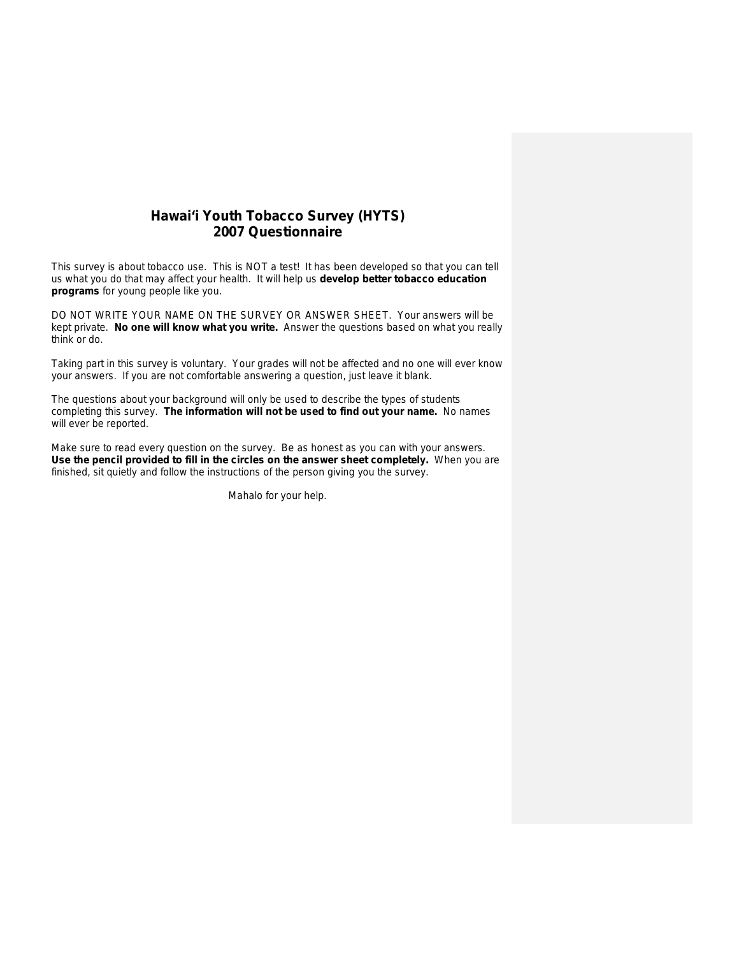# **Hawai'i Youth Tobacco Survey (HYTS) 2007 Questionnaire**

This survey is about tobacco use. This is NOT a test! It has been developed so that you can tell us what you do that may affect your health. It will help us **develop better tobacco education programs** for young people like you.

DO NOT WRITE YOUR NAME ON THE SURVEY OR ANSWER SHEET. Your answers will be kept private. **No one will know what you write.** Answer the questions based on what you really think or do.

Taking part in this survey is voluntary. Your grades will not be affected and no one will ever know your answers. If you are not comfortable answering a question, just leave it blank.

The questions about your background will only be used to describe the types of students completing this survey. **The information will not be used to find out your name.** No names will ever be reported.

Make sure to read every question on the survey. Be as honest as you can with your answers. **Use the pencil provided to fill in the circles on the answer sheet completely.** When you are finished, sit quietly and follow the instructions of the person giving you the survey.

Mahalo for your help.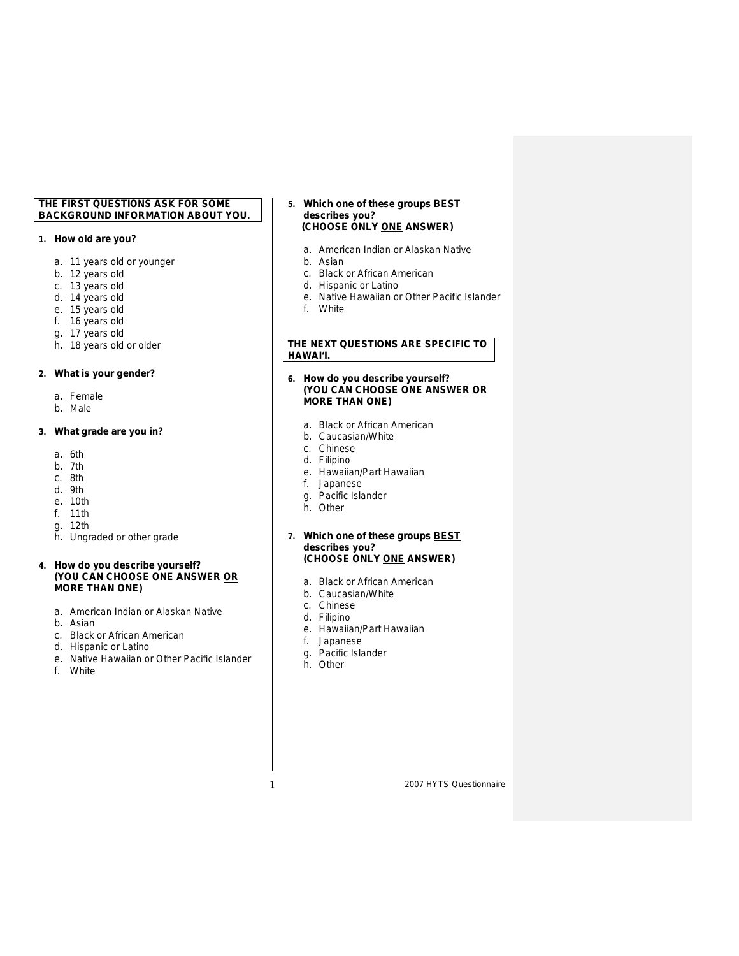# **THE FIRST QUESTIONS ASK FOR SOME BACKGROUND INFORMATION ABOUT YOU.**

# **1. How old are you?**

- a. 11 years old or younger
- b. 12 years old
- c. 13 years old
- d. 14 years old
- e. 15 years old
- f. 16 years old
- g. 17 years old
- h. 18 years old or older

# **2. What is your gender?**

- a. Female
- b. Male

# **3. What grade are you in?**

- a. 6th
- b. 7th
- c. 8th
- d. 9th
- e. 10th
- f. 11th
- g. 12th
- h. Ungraded or other grade

# **4. How do you describe yourself? (YOU CAN CHOOSE ONE ANSWER OR MORE THAN ONE)**

- a. American Indian or Alaskan Native
- b. Asian
- c. Black or African American
- d. Hispanic or Latino
- e. Native Hawaiian or Other Pacific Islander
- f. White

#### **5. Which one of these groups BEST describes you? (CHOOSE ONLY ONE ANSWER)**

- a. American Indian or Alaskan Native
- b. Asian
- c. Black or African American
- d. Hispanic or Latino
- e. Native Hawaiian or Other Pacific Islander
- f. White

# **THE NEXT QUESTIONS ARE SPECIFIC TO HAWAI'I.**

#### **6. How do you describe yourself? (YOU CAN CHOOSE ONE ANSWER OR MORE THAN ONE)**

- a. Black or African American
- b. Caucasian/White
- c. Chinese
- d. Filipino
- e. Hawaiian/Part Hawaiian
- f. Japanese
- g. Pacific Islander
- h. Other
- **7. Which one of these groups BEST describes you? (CHOOSE ONLY ONE ANSWER)** 
	- a. Black or African American
	- b. Caucasian/White
	- c. Chinese
	- d. Filipino
	- e. Hawaiian/Part Hawaiian
	- f. Japanese
	- g. Pacific Islander
	- h. Other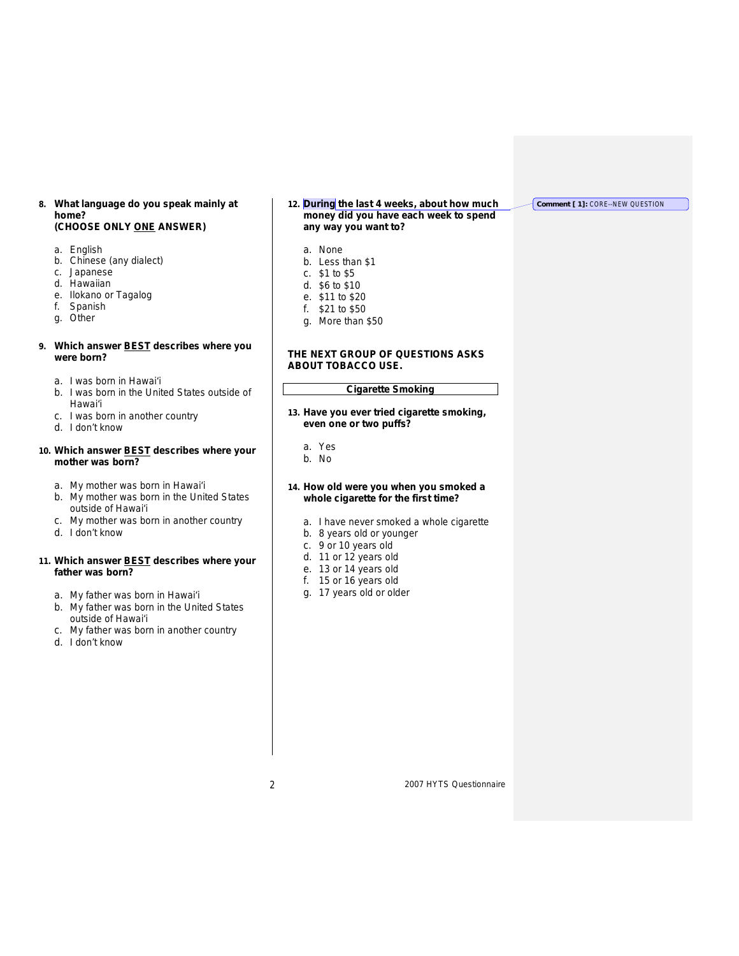# **8. What language do you speak mainly at home?**

# **(CHOOSE ONLY ONE ANSWER)**

- a. English
- b. Chinese (any dialect)
- c. Japanese
- d. Hawaiian
- e. Ilokano or Tagalog
- f. Spanish
- g. Other

# **9. Which answer BEST describes where you were born?**

- a. I was born in Hawai'i
- b. I was born in the United States outside of Hawai'i
- c. I was born in another country
- d. I don't know

# **10. Which answer BEST describes where your mother was born?**

- a. My mother was born in Hawai'i
- b. My mother was born in the United States outside of Hawai'i
- c. My mother was born in another country
- d. I don't know

# **11. Which answer BEST describes where your father was born?**

- a. My father was born in Hawai'i
- b. My father was born in the United States outside of Hawai'i
- c. My father was born in another country
- d. I don't know

#### **12. During the last 4 weeks, about how much money did you have each week to spend any way you want to?**

- a. None
- b. Less than \$1
- c. \$1 to \$5
- d. \$6 to \$10
- e. \$11 to \$20
- f. \$21 to \$50
- g. More than \$50

# **THE NEXT GROUP OF QUESTIONS ASKS ABOUT TOBACCO USE.**

# **Cigarette Smoking**

- **13. Have you ever tried cigarette smoking, even one or two puffs?**
	- a. Yes
	- b. No
- **14. How old were you when you smoked a whole cigarette for the first time?**
	- a. I have never smoked a whole cigarette
	- b. 8 years old or younger
	- c. 9 or 10 years old
	- d. 11 or 12 years old
	- e. 13 or 14 years old
	- f. 15 or 16 years old
	- g. 17 years old or older

2 2007 HYTS Questionnaire

**Comment [ 1]:** CORE--NEW QUESTION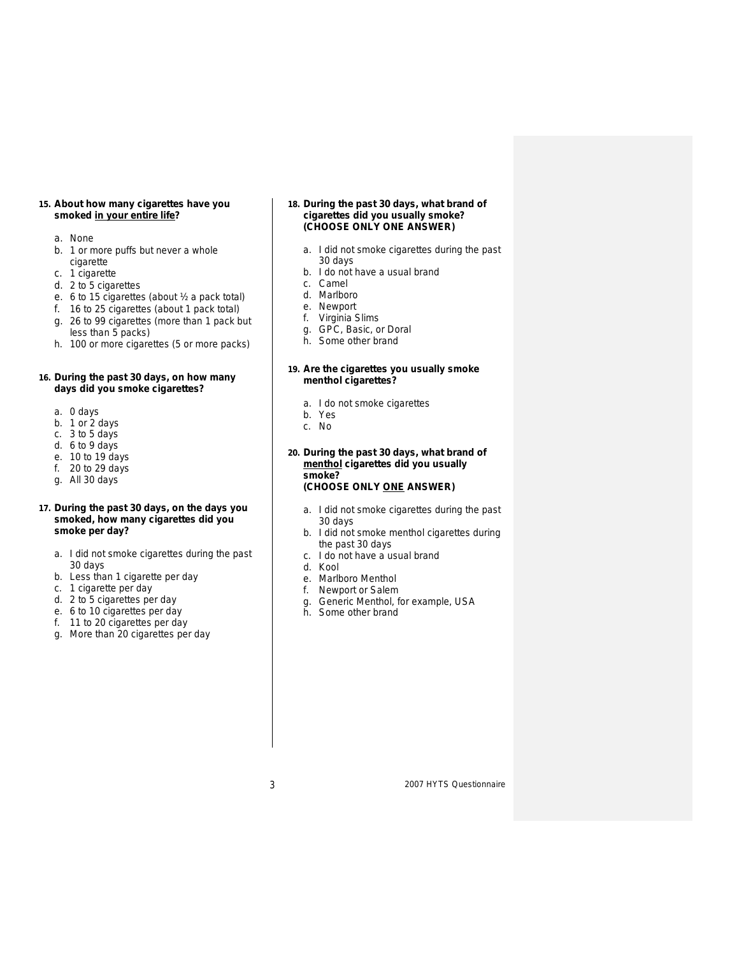#### **15. About how many cigarettes have you smoked in your entire life?**

- a. None
- b. 1 or more puffs but never a whole cigarette
- c. 1 cigarette
- d. 2 to 5 cigarettes
- e. 6 to 15 cigarettes (about ½ a pack total)
- f. 16 to 25 cigarettes (about 1 pack total) g. 26 to 99 cigarettes (more than 1 pack but less than 5 packs)
- h. 100 or more cigarettes (5 or more packs)

# **16. During the past 30 days, on how many days did you smoke cigarettes?**

- a. 0 days
- b. 1 or 2 days
- c. 3 to 5 days
- d. 6 to 9 days
- e. 10 to 19 days
- f. 20 to 29 days
- g. All 30 days

# **17. During the past 30 days, on the days you smoked, how many cigarettes did you smoke per day?**

- a. I did not smoke cigarettes during the past 30 days
- b. Less than 1 cigarette per day
- c. 1 cigarette per day
- d. 2 to 5 cigarettes per day
- e. 6 to 10 cigarettes per day
- f. 11 to 20 cigarettes per day
- g. More than 20 cigarettes per day

#### **18. During the past 30 days, what brand of cigarettes did you usually smoke? (CHOOSE ONLY ONE ANSWER)**

- a. I did not smoke cigarettes during the past 30 days
- b. I do not have a usual brand
- c. Camel
- d. Marlboro
- e. Newport<br>f. Virginia S
- Virginia Slims
- g. GPC, Basic, or Doral
- h. Some other brand

#### **19. Are the cigarettes you usually smoke menthol cigarettes?**

- a. I do not smoke cigarettes
- b. Yes
- c. No

# **20. During the past 30 days, what brand of menthol cigarettes did you usually smoke?**

# **(CHOOSE ONLY ONE ANSWER)**

- a. I did not smoke cigarettes during the past 30 days
- b. I did not smoke menthol cigarettes during the past 30 days
- c. I do not have a usual brand
- d. Kool
- e. Marlboro Menthol
- f. Newport or Salem
- g. Generic Menthol, for example, USA
- h. Some other brand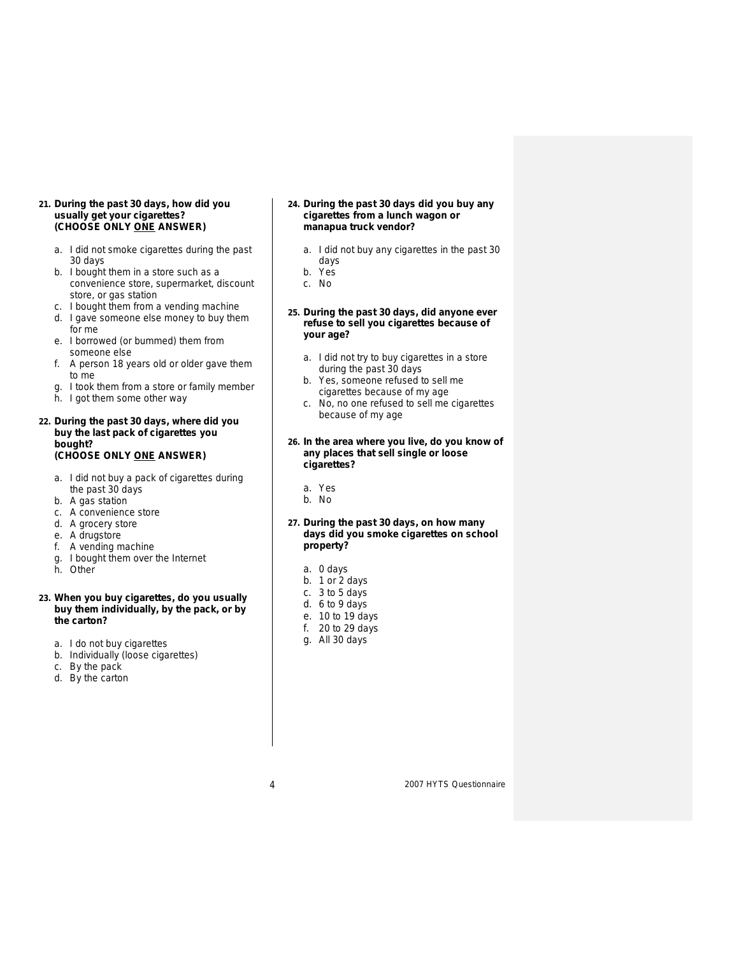- **21. During the past 30 days, how did you usually get your cigarettes? (CHOOSE ONLY ONE ANSWER)**
	- a. I did not smoke cigarettes during the past 30 days
	- b. I bought them in a store such as a convenience store, supermarket, discount store, or gas station
	- c. I bought them from a vending machine
	- d. I gave someone else money to buy them for me
	- e. I borrowed (or bummed) them from someone else
	- f. A person 18 years old or older gave them to me
	- g. I took them from a store or family member
	- h. I got them some other way

# **22. During the past 30 days, where did you buy the last pack of cigarettes you bought? (CHOOSE ONLY ONE ANSWER)**

- a. I did not buy a pack of cigarettes during the past 30 days
- b. A gas station
- c. A convenience store
- d. A grocery store
- e. A drugstore
- f. A vending machine
- g. I bought them over the Internet
- h. Other

# **23. When you buy cigarettes, do you usually buy them individually, by the pack, or by the carton?**

- a. I do not buy cigarettes
- b. Individually (loose cigarettes)
- c. By the pack
- d. By the carton
- **24. During the past 30 days did you buy any cigarettes from a lunch wagon or manapua truck vendor?**
	- a. I did not buy any cigarettes in the past 30 days
	- b. Yes
	- c. No
- **25. During the past 30 days, did anyone ever refuse to sell you cigarettes because of your age?**
	- a. I did not try to buy cigarettes in a store during the past 30 days
	- b. Yes, someone refused to sell me cigarettes because of my age
	- c. No, no one refused to sell me cigarettes because of my age

#### **26. In the area where you live, do you know of any places that sell single or loose cigarettes?**

- a. Yes
- b. No

# **27. During the past 30 days, on how many days did you smoke cigarettes on school property?**

- a. 0 days
- b. 1 or 2 days
- c. 3 to 5 days
- d. 6 to 9 days
- e. 10 to 19 days
- f. 20 to 29 days
- g. All 30 days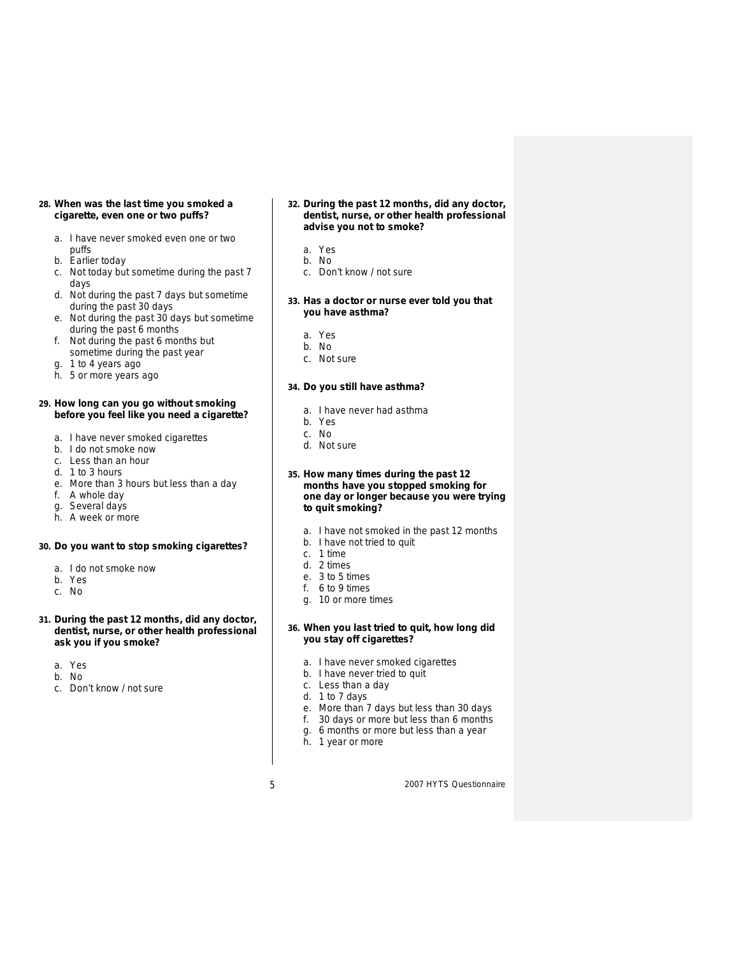# **28. When was the last time you smoked a cigarette, even one or two puffs?**

- a. I have never smoked even one or two puffs
- b. Earlier today
- c. Not today but sometime during the past 7 days
- d. Not during the past 7 days but sometime during the past 30 days
- e. Not during the past 30 days but sometime during the past 6 months
- f. Not during the past 6 months but sometime during the past year
- g. 1 to 4 years ago
- h. 5 or more years ago

## **29. How long can you go without smoking before you feel like you need a cigarette?**

- a. I have never smoked cigarettes
- b. I do not smoke now
- c. Less than an hour
- d. 1 to 3 hours
- e. More than 3 hours but less than a day
- f. A whole day
- g. Several days
- h. A week or more

# **30. Do you want to stop smoking cigarettes?**

- a. I do not smoke now
- b. Yes
- c. No
- **31. During the past 12 months, did any doctor, dentist, nurse, or other health professional ask you if you smoke?**
	- a. Yes
	- b. No
	- c. Don't know / not sure
- **32. During the past 12 months, did any doctor, dentist, nurse, or other health professional advise you not to smoke?**
	- a. Yes
	- b. No
	- c. Don't know / not sure
- **33. Has a doctor or nurse ever told you that you have asthma?**
	- a. Yes
	- b. No
	- c. Not sure

# **34. Do you still have asthma?**

- a. I have never had asthma
- b. Yes
- c. No
- d. Not sure
- **35. How many times during the past 12 months have you stopped smoking for one day or longer because you were trying to quit smoking?**
	- a. I have not smoked in the past 12 months
	- b. I have not tried to quit
	- c. 1 time
	- d. 2 times
	- e. 3 to 5 times
	- f. 6 to 9 times
	- g. 10 or more times

# **36. When you last tried to quit, how long did you stay off cigarettes?**

- a. I have never smoked cigarettes
- b. I have never tried to quit
- c. Less than a day
- d. 1 to 7 days
- e. More than 7 days but less than 30 days
- f. 30 days or more but less than 6 months
- g. 6 months or more but less than a year
- h. 1 year or more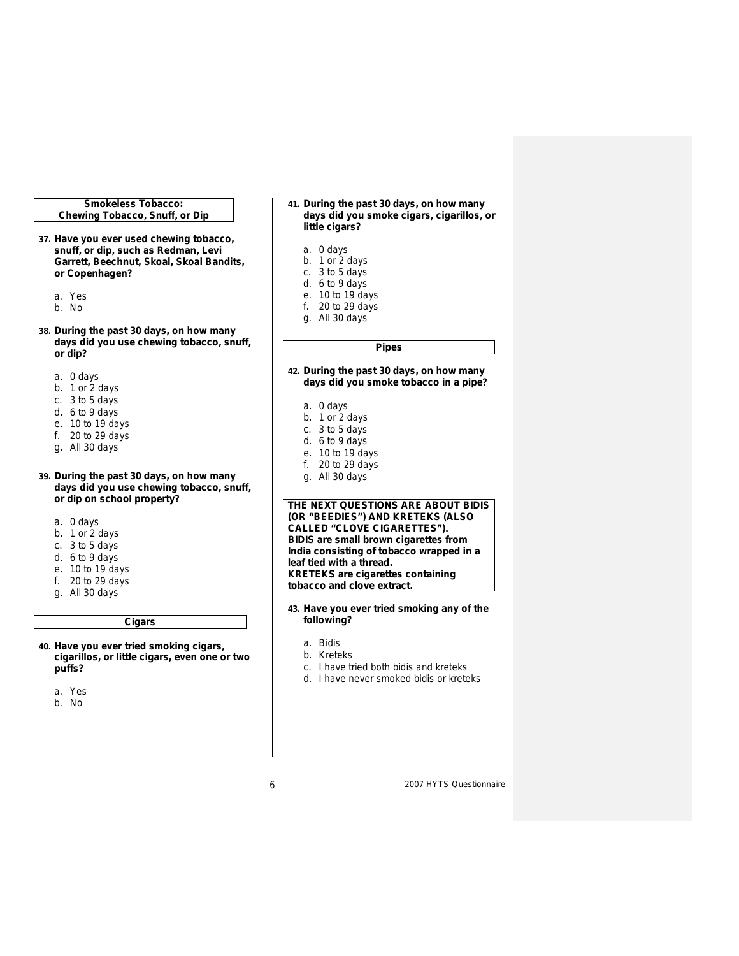#### **Smokeless Tobacco: Chewing Tobacco, Snuff, or Dip**

- **37. Have you ever used chewing tobacco, snuff, or dip, such as Redman, Levi Garrett, Beechnut, Skoal, Skoal Bandits, or Copenhagen?**
	- a. Yes
	- b. No
	-
- **38. During the past 30 days, on how many days did you use chewing tobacco, snuff, or dip?** 
	- a. 0 days
	- b. 1 or 2 days
	- c. 3 to 5 days
	- d. 6 to 9 days
	- e. 10 to 19 days
	- f. 20 to 29 days
	- g. All 30 days

# **39. During the past 30 days, on how many days did you use chewing tobacco, snuff, or dip on school property?**

- a. 0 days
- b. 1 or 2 days
- c. 3 to 5 days
- d. 6 to 9 days
- e. 10 to 19 days
- f. 20 to 29 days
- g. All 30 days
	-

# **Cigars**

- **40. Have you ever tried smoking cigars, cigarillos, or little cigars, even one or two puffs?** 
	- a. Yes

b. No

- **41. During the past 30 days, on how many days did you smoke cigars, cigarillos, or little cigars?**
	- a. 0 days
	- b. 1 or 2 days
	- c. 3 to 5 days
	- d. 6 to 9 days
	- e. 10 to 19 days
	- f. 20 to 29 days
	- g. All 30 days

**42. During the past 30 days, on how many days did you smoke tobacco in a pipe?**

**Pipes**

- a. 0 days
- b. 1 or 2 days
- c. 3 to 5 days
- d. 6 to 9 days
- e. 10 to 19 days
- f. 20 to 29 days
- g. All 30 days

# **THE NEXT QUESTIONS ARE ABOUT BIDIS (OR "BEEDIES") AND KRETEKS (ALSO CALLED "CLOVE CIGARETTES"). BIDIS are small brown cigarettes from India consisting of tobacco wrapped in a leaf tied with a thread. KRETEKS are cigarettes containing tobacco and clove extract.**

- **43. Have you ever tried smoking any of the following?**
	- a. Bidis
	- b. Kreteks
	- c. I have tried both bidis and kreteks
	- d. I have never smoked bidis or kreteks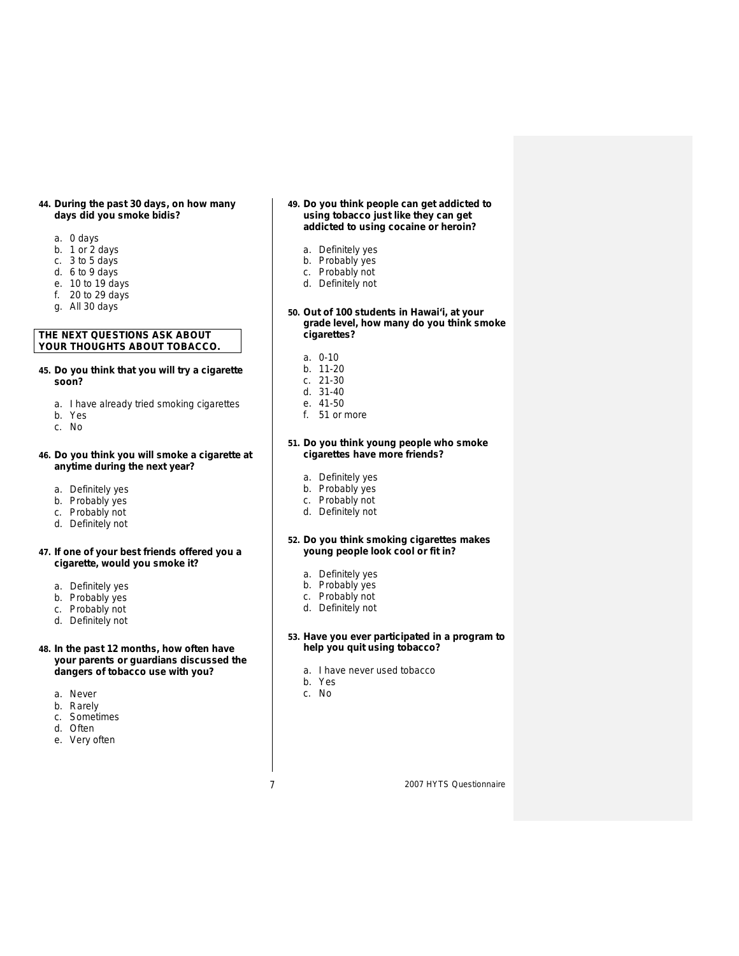#### **44. During the past 30 days, on how many days did you smoke bidis?**

- a. 0 days
- b. 1 or 2 days
- c. 3 to 5 days
- d. 6 to 9 days
- e. 10 to 19 days
- f. 20 to 29 days
- g. All 30 days

# **THE NEXT QUESTIONS ASK ABOUT YOUR THOUGHTS ABOUT TOBACCO.**

# **45. Do you think that you will try a cigarette soon?**

- a. I have already tried smoking cigarettes
- b. Yes
- c. No

# **46. Do you think you will smoke a cigarette at anytime during the next year?**

- a. Definitely yes
- b. Probably yes
- c. Probably not
- d. Definitely not

# **47. If one of your best friends offered you a cigarette, would you smoke it?**

- a. Definitely yes
- b. Probably yes
- c. Probably not
- d. Definitely not

# **48. In the past 12 months, how often have your parents or guardians discussed the dangers of tobacco use with you?**

- a. Never
- b. Rarely
- c. Sometimes
- d. Often
- e. Very often

#### **49. Do you think people can get addicted to using tobacco just like they can get addicted to using cocaine or heroin?**

- a. Definitely yes
- b. Probably yes
- c. Probably not
- d. Definitely not
- **50. Out of 100 students in Hawai'i, at your grade level, how many do you think smoke cigarettes?**
	- a. 0-10
	- b. 11-20
	- c. 21-30
	- d. 31-40 e. 41-50
	- f. 51 or more
	-

# **51. Do you think young people who smoke cigarettes have more friends?**

- a. Definitely yes
- b. Probably yes
- c. Probably not
- d. Definitely not
- **52. Do you think smoking cigarettes makes young people look cool or fit in?**
	- a. Definitely yes
	- b. Probably yes
	- c. Probably not
	- d. Definitely not
	-

# **53. Have you ever participated in a program to help you quit using tobacco?**

- a. I have never used tobacco
- b. Yes
- c. No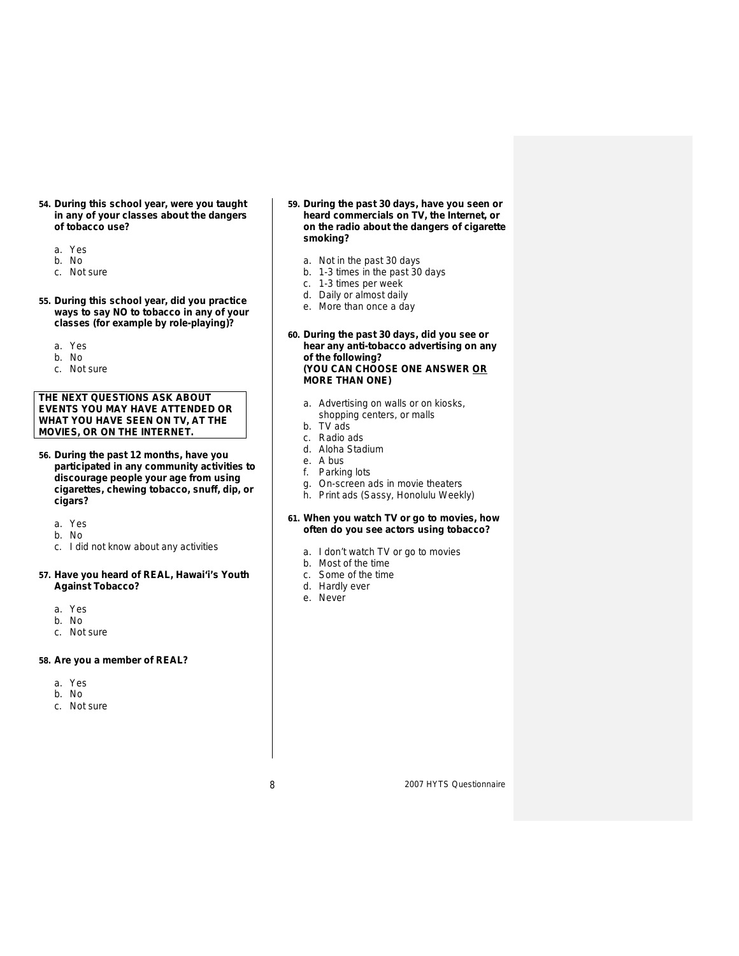- **54. During this school year, were you taught in any of your classes about the dangers of tobacco use?**
	- a. Yes
	- b. No
	- c. Not sure
- **55. During this school year, did you practice ways to say NO to tobacco in any of your classes (for example by role-playing)?**
	- a. Yes
	- b. No
	- c. Not sure

# **THE NEXT QUESTIONS ASK ABOUT EVENTS YOU MAY HAVE ATTENDED OR WHAT YOU HAVE SEEN ON TV, AT THE MOVIES, OR ON THE INTERNET.**

- **56. During the past 12 months, have you participated in any community activities to discourage people your age from using cigarettes, chewing tobacco, snuff, dip, or cigars?**
	- a. Yes
	- b. No
	- c. I did not know about any activities

# **57. Have you heard of REAL, Hawai'i's Youth Against Tobacco?**

- a. Yes
- b. No
- c. Not sure

# **58. Are you a member of REAL?**

- a. Yes
- b. No
- c. Not sure
- **59. During the past 30 days, have you seen or heard commercials on TV, the Internet, or on the radio about the dangers of cigarette smoking?**
	- a. Not in the past 30 days
	- b. 1-3 times in the past 30 days
	- c. 1-3 times per week
	- d. Daily or almost daily
	- e. More than once a day
- **60. During the past 30 days, did you see or hear any anti-tobacco advertising on any of the following? (YOU CAN CHOOSE ONE ANSWER OR MORE THAN ONE)**
	- a. Advertising on walls or on kiosks,
		- shopping centers, or malls
	- b. TV ads c. Radio ads
	- d. Aloha Stadium
	- e. A bus
	- f. Parking lots
	-
	- g. On-screen ads in movie theaters
	- h. Print ads (Sassy, Honolulu Weekly)

# **61. When you watch TV or go to movies, how often do you see actors using tobacco?**

- a. I don't watch TV or go to movies
- b. Most of the time
- c. Some of the time
- d. Hardly ever
- e. Never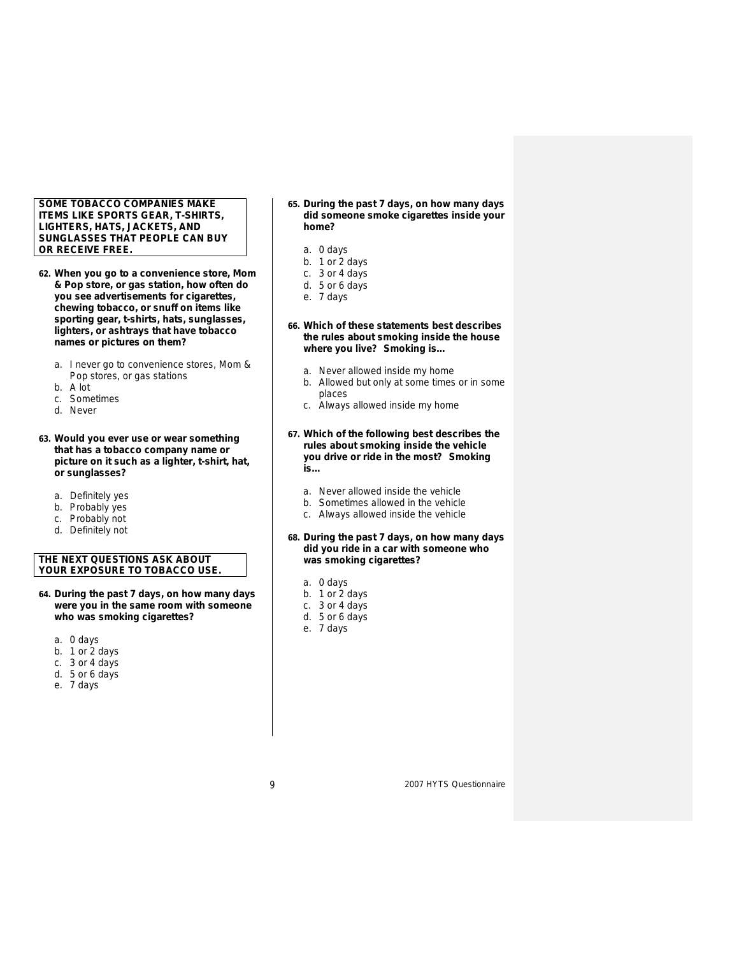# **SOME TOBACCO COMPANIES MAKE ITEMS LIKE SPORTS GEAR, T-SHIRTS, LIGHTERS, HATS, JACKETS, AND SUNGLASSES THAT PEOPLE CAN BUY OR RECEIVE FREE.**

- **62. When you go to a convenience store, Mom & Pop store, or gas station, how often do you see advertisements for cigarettes, chewing tobacco, or snuff on items like sporting gear, t-shirts, hats, sunglasses, lighters, or ashtrays that have tobacco names or pictures on them?** 
	- a. I never go to convenience stores, Mom & Pop stores, or gas stations
	- b. A lot
	- c. Sometimes
	- d. Never
- **63. Would you ever use or wear something that has a tobacco company name or picture on it such as a lighter, t-shirt, hat, or sunglasses?**
	- a. Definitely yes
	- b. Probably yes
	- c. Probably not
	- d. Definitely not

# **THE NEXT QUESTIONS ASK ABOUT YOUR EXPOSURE TO TOBACCO USE.**

**64. During the past 7 days, on how many days were you in the same room with someone who was smoking cigarettes?** 

a. 0 days

- b. 1 or 2 days
- c. 3 or 4 days
- d. 5 or 6 days
- e. 7 days

#### **65. During the past 7 days, on how many days did someone smoke cigarettes inside your home?**

- a. 0 days
- b. 1 or 2 days
- c. 3 or 4 days
- d. 5 or 6 days
- e. 7 days
- **66. Which of these statements best describes the rules about smoking inside the house where you live? Smoking is…**
	- a. Never allowed inside my home
	- b. Allowed but only at some times or in some places
	- c. Always allowed inside my home
- **67. Which of the following best describes the rules about smoking inside the vehicle you drive or ride in the most? Smoking is…**
	- a. Never allowed inside the vehicle
	- b. Sometimes allowed in the vehicle
	- c. Always allowed inside the vehicle
- **68. During the past 7 days, on how many days did you ride in a car with someone who was smoking cigarettes?**
	- a. 0 days
	- b. 1 or 2 days
	- c. 3 or 4 days
	- d. 5 or 6 days
	- e. 7 days